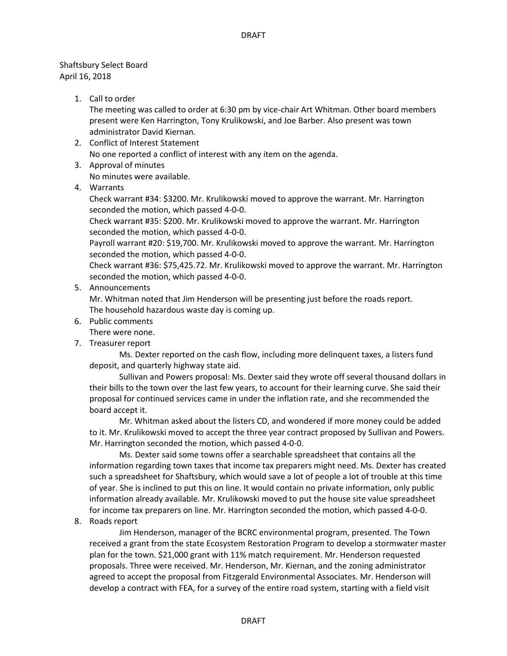## Shaftsbury Select Board April 16, 2018

1. Call to order

The meeting was called to order at 6:30 pm by vice-chair Art Whitman. Other board members present were Ken Harrington, Tony Krulikowski, and Joe Barber. Also present was town administrator David Kiernan.

- 2. Conflict of Interest Statement No one reported a conflict of interest with any item on the agenda.
- 3. Approval of minutes No minutes were available.
- 
- 4. Warrants

Check warrant #34: \$3200. Mr. Krulikowski moved to approve the warrant. Mr. Harrington seconded the motion, which passed 4-0-0.

Check warrant #35: \$200. Mr. Krulikowski moved to approve the warrant. Mr. Harrington seconded the motion, which passed 4-0-0.

Payroll warrant #20: \$19,700. Mr. Krulikowski moved to approve the warrant. Mr. Harrington seconded the motion, which passed 4-0-0.

Check warrant #36: \$75,425.72. Mr. Krulikowski moved to approve the warrant. Mr. Harrington seconded the motion, which passed 4-0-0.

5. Announcements

Mr. Whitman noted that Jim Henderson will be presenting just before the roads report. The household hazardous waste day is coming up.

6. Public comments

There were none.

7. Treasurer report

Ms. Dexter reported on the cash flow, including more delinquent taxes, a listers fund deposit, and quarterly highway state aid.

Sullivan and Powers proposal: Ms. Dexter said they wrote off several thousand dollars in their bills to the town over the last few years, to account for their learning curve. She said their proposal for continued services came in under the inflation rate, and she recommended the board accept it.

Mr. Whitman asked about the listers CD, and wondered if more money could be added to it. Mr. Krulikowski moved to accept the three year contract proposed by Sullivan and Powers. Mr. Harrington seconded the motion, which passed 4-0-0.

Ms. Dexter said some towns offer a searchable spreadsheet that contains all the information regarding town taxes that income tax preparers might need. Ms. Dexter has created such a spreadsheet for Shaftsbury, which would save a lot of people a lot of trouble at this time of year. She is inclined to put this on line. It would contain no private information, only public information already available. Mr. Krulikowski moved to put the house site value spreadsheet for income tax preparers on line. Mr. Harrington seconded the motion, which passed 4-0-0.

8. Roads report

Jim Henderson, manager of the BCRC environmental program, presented. The Town received a grant from the state Ecosystem Restoration Program to develop a stormwater master plan for the town. \$21,000 grant with 11% match requirement. Mr. Henderson requested proposals. Three were received. Mr. Henderson, Mr. Kiernan, and the zoning administrator agreed to accept the proposal from Fitzgerald Environmental Associates. Mr. Henderson will develop a contract with FEA, for a survey of the entire road system, starting with a field visit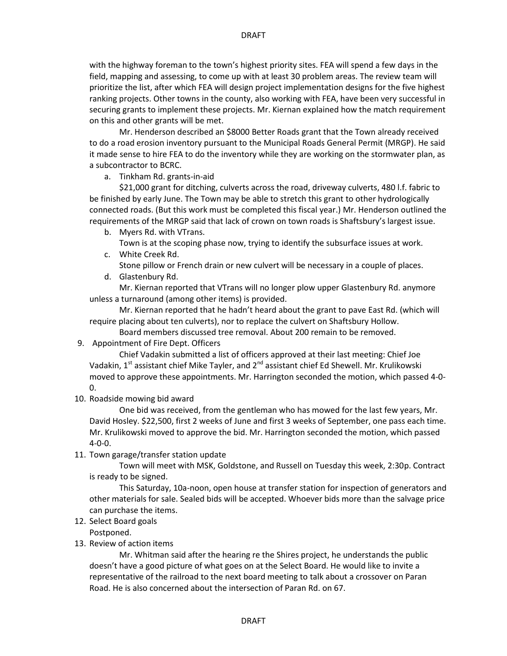with the highway foreman to the town's highest priority sites. FEA will spend a few days in the field, mapping and assessing, to come up with at least 30 problem areas. The review team will prioritize the list, after which FEA will design project implementation designs for the five highest ranking projects. Other towns in the county, also working with FEA, have been very successful in securing grants to implement these projects. Mr. Kiernan explained how the match requirement on this and other grants will be met.

Mr. Henderson described an \$8000 Better Roads grant that the Town already received to do a road erosion inventory pursuant to the Municipal Roads General Permit (MRGP). He said it made sense to hire FEA to do the inventory while they are working on the stormwater plan, as a subcontractor to BCRC.

a. Tinkham Rd. grants-in-aid

\$21,000 grant for ditching, culverts across the road, driveway culverts, 480 l.f. fabric to be finished by early June. The Town may be able to stretch this grant to other hydrologically connected roads. (But this work must be completed this fiscal year.) Mr. Henderson outlined the requirements of the MRGP said that lack of crown on town roads is Shaftsbury's largest issue.

b. Myers Rd. with VTrans.

Town is at the scoping phase now, trying to identify the subsurface issues at work.

c. White Creek Rd.

Stone pillow or French drain or new culvert will be necessary in a couple of places.

d. Glastenbury Rd.

Mr. Kiernan reported that VTrans will no longer plow upper Glastenbury Rd. anymore unless a turnaround (among other items) is provided.

Mr. Kiernan reported that he hadn't heard about the grant to pave East Rd. (which will require placing about ten culverts), nor to replace the culvert on Shaftsbury Hollow.

Board members discussed tree removal. About 200 remain to be removed.

9. Appointment of Fire Dept. Officers

Chief Vadakin submitted a list of officers approved at their last meeting: Chief Joe Vadakin,  $1^{st}$  assistant chief Mike Tayler, and  $2^{nd}$  assistant chief Ed Shewell. Mr. Krulikowski moved to approve these appointments. Mr. Harrington seconded the motion, which passed 4-0- 0.

10. Roadside mowing bid award

One bid was received, from the gentleman who has mowed for the last few years, Mr. David Hosley. \$22,500, first 2 weeks of June and first 3 weeks of September, one pass each time. Mr. Krulikowski moved to approve the bid. Mr. Harrington seconded the motion, which passed 4-0-0.

11. Town garage/transfer station update

Town will meet with MSK, Goldstone, and Russell on Tuesday this week, 2:30p. Contract is ready to be signed.

This Saturday, 10a-noon, open house at transfer station for inspection of generators and other materials for sale. Sealed bids will be accepted. Whoever bids more than the salvage price can purchase the items.

12. Select Board goals

Postponed.

13. Review of action items

Mr. Whitman said after the hearing re the Shires project, he understands the public doesn't have a good picture of what goes on at the Select Board. He would like to invite a representative of the railroad to the next board meeting to talk about a crossover on Paran Road. He is also concerned about the intersection of Paran Rd. on 67.